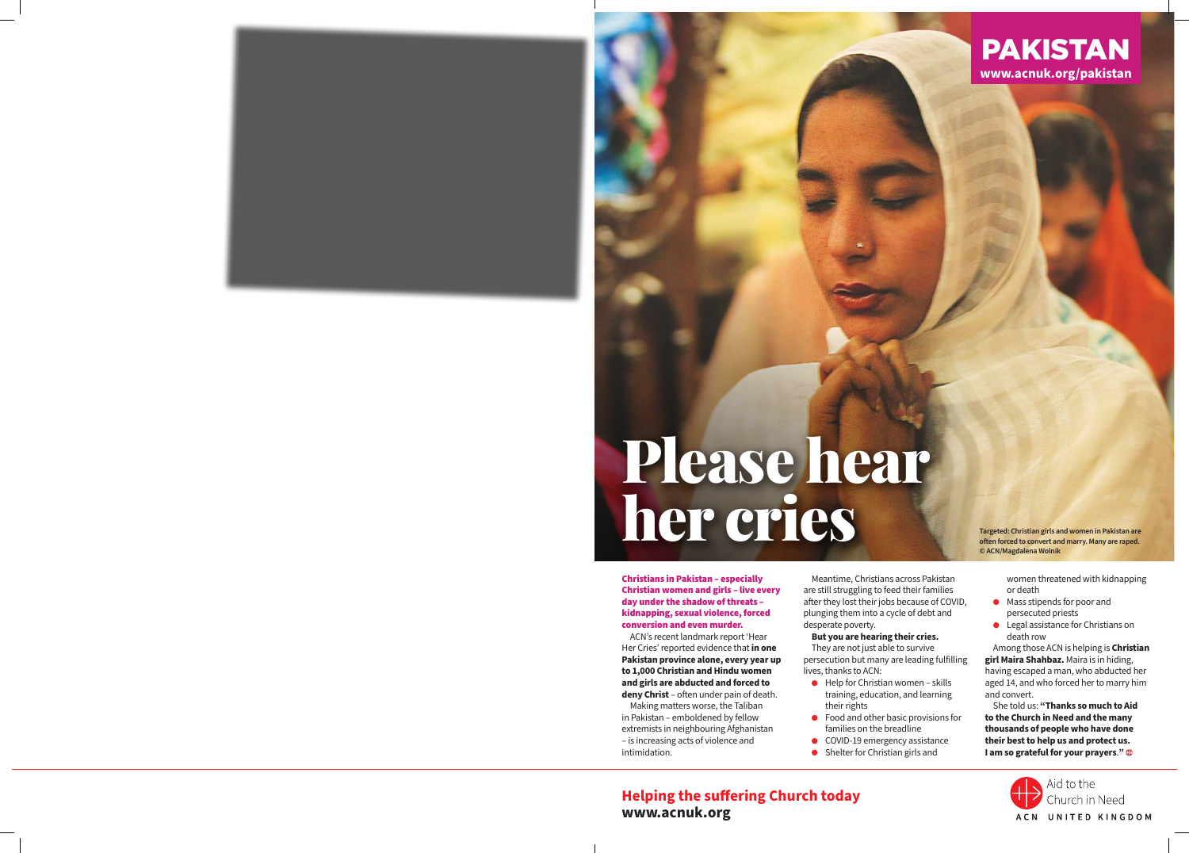

# Please hear **her care constrain girls and women in Pakistan are** often (Microsoft Constrain girls and women in Pakistan are often (Microsoft Constrain marry, Many are raped.

Christians in Pakistan – especially Christian women and girls – live every day under the shadow of threats – kidnapping, sexual violence, forced conversion and even murder.

ACN's recent landmark report 'Hear Her Cries' reported evidence that **in one Pakistan province alone, every year up to 1,000 Christian and Hindu women and girls are abducted and forced to deny Christ** – often under pain of death.

Making matters worse, the Taliban in Pakistan – emboldened by fellow extremists in neighbouring Afghanistan – is increasing acts of violence and intimidation.

Meantime, Christians across Pakistan are still struggling to feed their families after they lost their jobs because of COVID, plunging them into a cycle of debt and desperate poverty.

### **But you are hearing their cries.**

They are not just able to survive persecution but many are leading fulfilling lives, thanks to ACN:

- $\bullet$  Help for Christian women skills training, education, and learning their rights
- Food and other basic provisions for families on the breadline
- COVID-19 emergency assistance
- Shelter for Christian girls and

**often forced to convert and marry. Many are raped. © ACN/Magdalena Wolnik** 

> women threatened with kidnapping or death

- Mass stipends for poor and persecuted priests
- Legal assistance for Christians on death row

Among those ACN is helping is **Christian girl Maira Shahbaz.** Maira is in hiding, having escaped a man, who abducted her aged 14, and who forced her to marry him and convert.

She told us: **"Thanks so much to Aid to the Church in Need and the many thousands of people who have done their best to help us and protect us. I am so grateful for your prayers**.**"**



### **Helping the suffering Church today www.acnuk.org**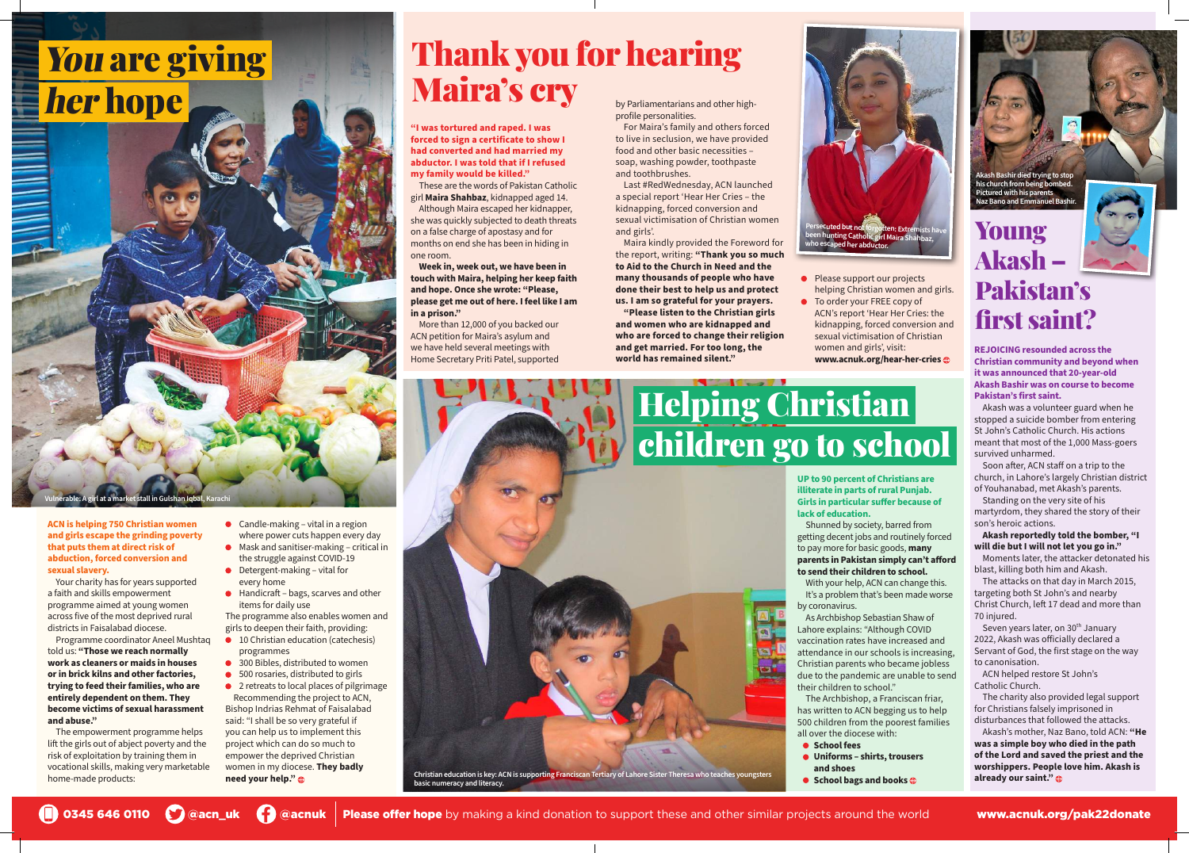**ACN is helping 750 Christian women and girls escape the grinding poverty that puts them at direct risk of abduction, forced conversion and sexual slavery.** 

Your charity has for years supported a faith and skills empowerment programme aimed at young women across five of the most deprived rural districts in Faisalabad diocese.

Programme coordinator Aneel Mushtaq told us: **"Those we reach normally work as cleaners or maids in houses or in brick kilns and other factories, trying to feed their families, who are entirely dependent on them. They become victims of sexual harassment and abuse."**

- $\bullet$  Candle-making vital in a region where power cuts happen every day
- Mask and sanitiser-making critical in the struggle against COVID-19
- Detergent-making vital for every home
- Handicraft bags, scarves and other items for daily use

The empowerment programme helps lift the girls out of abject poverty and the risk of exploitation by training them in vocational skills, making very marketable home-made products:

- 10 Christian education (catechesis) programmes
- 300 Bibles, distributed to women
- 500 rosaries, distributed to girls
- 2 retreats to local places of pilgrimage Recommending the project to ACN, Bishop Indrias Rehmat of Faisalabad said: "I shall be so very grateful if you can help us to implement this project which can do so much to empower the deprived Christian women in my diocese. **They badly**

The programme also enables women and girls to deepen their faith, providing:

**need your help."** 

0345 646 0110 C @acn\_uk C @acnuk Please offer hope by making a kind donation to support these and other similar projects around the world www.acnuk.org/pak22donate



**"I was tortured and raped. I was forced to sign a certificate to show I had converted and had married my abductor. I was told that if I refused my family would be killed."**

> Seven years later, on 30<sup>th</sup> January 2022, Akash was officially declared a Servant of God, the first stage on the way to canonisation.

These are the words of Pakistan Catholic girl **Maira Shahbaz**, kidnapped aged 14. Although Maira escaped her kidnapper, she was quickly subjected to death threats on a false charge of apostasy and for months on end she has been in hiding in one room.

**Week in, week out, we have been in touch with Maira, helping her keep faith and hope. Once she wrote: "Please, please get me out of here. I feel like I am in a prison."**

More than 12,000 of you backed our ACN petition for Maira's asylum and we have held several meetings with Home Secretary Priti Patel, supported

**Vulnerable: A girl at a market stall in Gulshan Iqbal, Karachi**



- Please support our projects helping Christian women and girls.
- To order your FREE copy of ACN's report 'Hear Her Cries: the kidnapping, forced conversion and sexual victimisation of Christian women and girls', visit: **www.acnuk.org/hear-her-cries**

**REJOICING resounded across the Christian community and beyond when it was announced that 20-year-old Akash Bashir was on course to become Pakistan's first saint.**

Akash was a volunteer guard when he stopped a suicide bomber from entering St John's Catholic Church. His actions meant that most of the 1,000 Mass-goers survived unharmed.

Soon after, ACN staff on a trip to the church, in Lahore's largely Christian district of Youhanabad, met Akash's parents.

## Helping Christian children go to school

## You are giving her hope

Standing on the very site of his martyrdom, they shared the story of their son's heroic actions.

**Akash reportedly told the bomber, "I will die but I will not let you go in."**

Moments later, the attacker detonated his blast, killing both him and Akash.

The attacks on that day in March 2015, targeting both St John's and nearby Christ Church, left 17 dead and more than 70 injured.

ACN helped restore St John's Catholic Church.

The charity also provided legal support for Christians falsely imprisoned in disturbances that followed the attacks.

Akash's mother, Naz Bano, told ACN: **"He was a simple boy who died in the path of the Lord and saved the priest and the worshippers. People love him. Akash is already our saint."**

### Young Akash – Pakistan's first saint?

by Parliamentarians and other highprofile personalities.

For Maira's family and others forced to live in seclusion, we have provided food and other basic necessities – soap, washing powder, toothpaste and toothbrushes.

Last #RedWednesday, ACN launched a special report 'Hear Her Cries – the kidnapping, forced conversion and sexual victimisation of Christian women and girls'.

Maira kindly provided the Foreword for the report, writing: **"Thank you so much to Aid to the Church in Need and the many thousands of people who have done their best to help us and protect us. I am so grateful for your prayers.** 

**"Please listen to the Christian girls and women who are kidnapped and who are forced to change their religion and get married. For too long, the world has remained silent."**

> **UP to 90 percent of Christians are illiterate in parts of rural Punjab. Girls in particular suffer because of lack of education.**

Shunned by society, barred from getting decent jobs and routinely forced to pay more for basic goods, **many parents in Pakistan simply can't afford to send their children to school.**

With your help, ACN can change this. It's a problem that's been made worse by coronavirus.

As Archbishop Sebastian Shaw of Lahore explains: "Although COVID vaccination rates have increased and attendance in our schools is increasing, Christian parents who became jobless due to the pandemic are unable to send their children to school."

The Archbishop, a Franciscan friar, has written to ACN begging us to help 500 children from the poorest families all over the diocese with:

- **School fees**
- **Uniforms shirts, trousers**
- **and shoes**
- **School bags and books**  $\bigcirc$

### Thank you for hearing Maira's cry



**Akash Bashir died trying to stop his church from being bombed. Pictured with his parents Naz Bano and Emmanuel Bashir.**